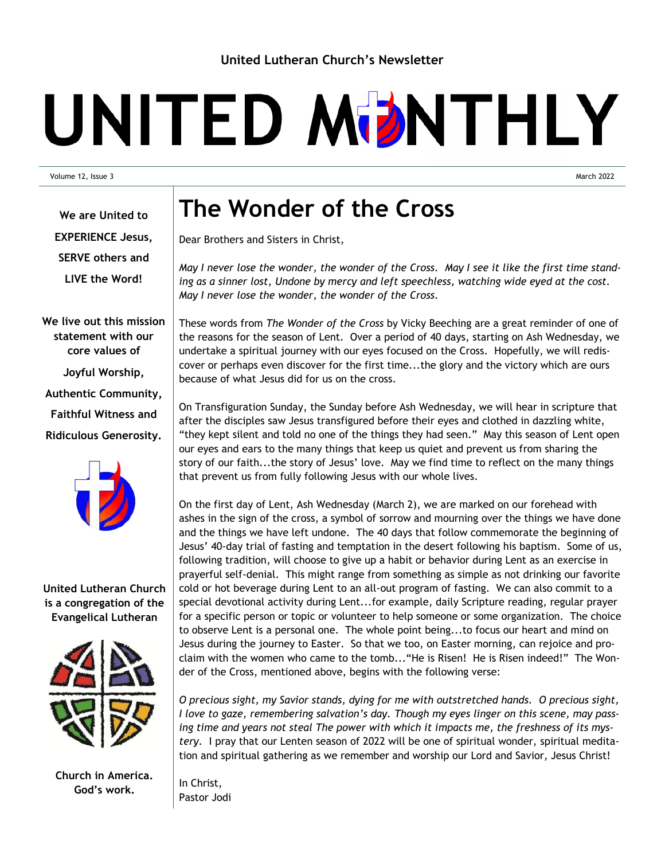# UNITED MDNTHLY

Volume 12, Issue 3 March 2022

**We are United to EXPERIENCE Jesus, SERVE others and LIVE the Word!**

**We live out this mission statement with our core values of Joyful Worship, Authentic Community, Faithful Witness and Ridiculous Generosity.**



**United Lutheran Church is a congregation of the Evangelical Lutheran** 



**Church in America. God's work.**

## **The Wonder of the Cross**

Dear Brothers and Sisters in Christ,

*May I never lose the wonder, the wonder of the Cross. May I see it like the first time standing as a sinner lost, Undone by mercy and left speechless, watching wide eyed at the cost. May I never lose the wonder, the wonder of the Cross.*

These words from *The Wonder of the Cross* by Vicky Beeching are a great reminder of one of the reasons for the season of Lent. Over a period of 40 days, starting on Ash Wednesday, we undertake a spiritual journey with our eyes focused on the Cross. Hopefully, we will rediscover or perhaps even discover for the first time...the glory and the victory which are ours because of what Jesus did for us on the cross.

On Transfiguration Sunday, the Sunday before Ash Wednesday, we will hear in scripture that after the disciples saw Jesus transfigured before their eyes and clothed in dazzling white, "they kept silent and told no one of the things they had seen." May this season of Lent open our eyes and ears to the many things that keep us quiet and prevent us from sharing the story of our faith...the story of Jesus' love. May we find time to reflect on the many things that prevent us from fully following Jesus with our whole lives.

On the first day of Lent, Ash Wednesday (March 2), we are marked on our forehead with ashes in the sign of the cross, a symbol of sorrow and mourning over the things we have done and the things we have left undone. The 40 days that follow commemorate the beginning of Jesus' 40-day trial of fasting and temptation in the desert following his baptism. Some of us, following tradition, will choose to give up a habit or behavior during Lent as an exercise in prayerful self-denial. This might range from something as simple as not drinking our favorite cold or hot beverage during Lent to an all-out program of fasting. We can also commit to a special devotional activity during Lent...for example, daily Scripture reading, regular prayer for a specific person or topic or volunteer to help someone or some organization. The choice to observe Lent is a personal one. The whole point being...to focus our heart and mind on Jesus during the journey to Easter. So that we too, on Easter morning, can rejoice and proclaim with the women who came to the tomb..."He is Risen! He is Risen indeed!" The Wonder of the Cross, mentioned above, begins with the following verse:

*O precious sight, my Savior stands, dying for me with outstretched hands. O precious sight, I love to gaze, remembering salvation's day. Though my eyes linger on this scene, may passing time and years not steal The power with which it impacts me, the freshness of its mystery.* I pray that our Lenten season of 2022 will be one of spiritual wonder, spiritual meditation and spiritual gathering as we remember and worship our Lord and Savior, Jesus Christ!

In Christ, Pastor Jodi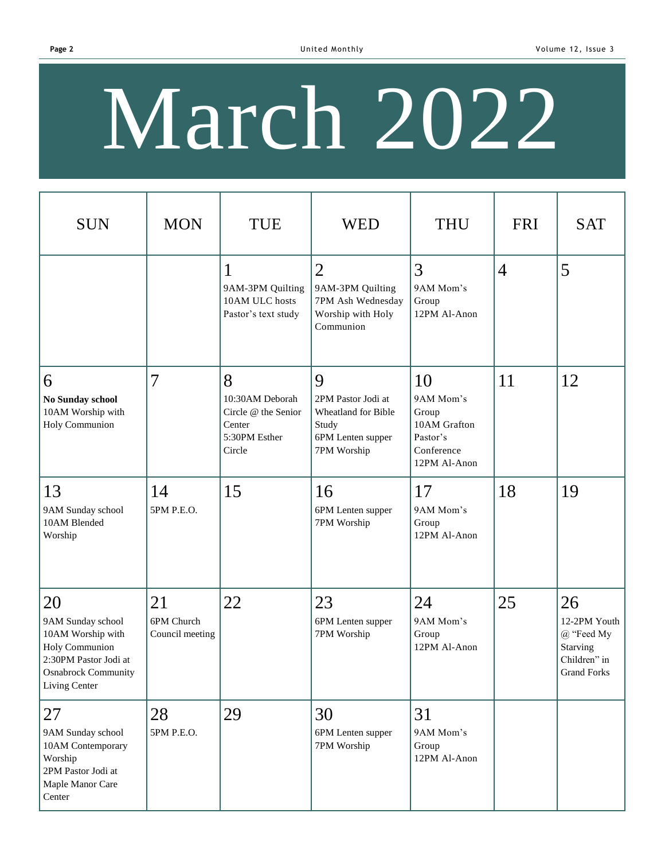# March 2022

| <b>SUN</b>                                                                                                                                    | <b>MON</b>                          | <b>TUE</b>                                                                       | <b>WED</b>                                                                                  | <b>THU</b>                                                                         | <b>FRI</b>     | <b>SAT</b>                                                                         |
|-----------------------------------------------------------------------------------------------------------------------------------------------|-------------------------------------|----------------------------------------------------------------------------------|---------------------------------------------------------------------------------------------|------------------------------------------------------------------------------------|----------------|------------------------------------------------------------------------------------|
|                                                                                                                                               |                                     | 1<br>9AM-3PM Quilting<br>10AM ULC hosts<br>Pastor's text study                   | $\overline{2}$<br>9AM-3PM Quilting<br>7PM Ash Wednesday<br>Worship with Holy<br>Communion   | 3<br>9AM Mom's<br>Group<br>12PM Al-Anon                                            | $\overline{4}$ | 5                                                                                  |
| 6<br>No Sunday school<br>10AM Worship with<br><b>Holy Communion</b>                                                                           | $\overline{7}$                      | 8<br>10:30AM Deborah<br>Circle @ the Senior<br>Center<br>5:30PM Esther<br>Circle | 9<br>2PM Pastor Jodi at<br>Wheatland for Bible<br>Study<br>6PM Lenten supper<br>7PM Worship | 10<br>9AM Mom's<br>Group<br>10AM Grafton<br>Pastor's<br>Conference<br>12PM Al-Anon | 11             | 12                                                                                 |
| 13<br>9AM Sunday school<br>10AM Blended<br>Worship                                                                                            | 14<br>5PM P.E.O.                    | 15                                                                               | 16<br>6PM Lenten supper<br>7PM Worship                                                      | 17<br>9AM Mom's<br>Group<br>12PM Al-Anon                                           | 18             | 19                                                                                 |
| 20<br>9AM Sunday school<br>10AM Worship with<br><b>Holy Communion</b><br>2:30PM Pastor Jodi at<br><b>Osnabrock Community</b><br>Living Center | 21<br>6PM Church<br>Council meeting | 22                                                                               | 23<br>6PM Lenten supper<br>7PM Worship                                                      | 24<br>9AM Mom's<br>Group<br>12PM Al-Anon                                           | 25             | 26<br>12-2PM Youth<br>@ "Feed My<br>Starving<br>Children" in<br><b>Grand Forks</b> |
| 27<br>9AM Sunday school<br>10AM Contemporary<br>Worship<br>2PM Pastor Jodi at<br>Maple Manor Care<br>Center                                   | 28<br>5PM P.E.O.                    | 29                                                                               | 30<br>6PM Lenten supper<br>7PM Worship                                                      | 31<br>9AM Mom's<br>Group<br>12PM Al-Anon                                           |                |                                                                                    |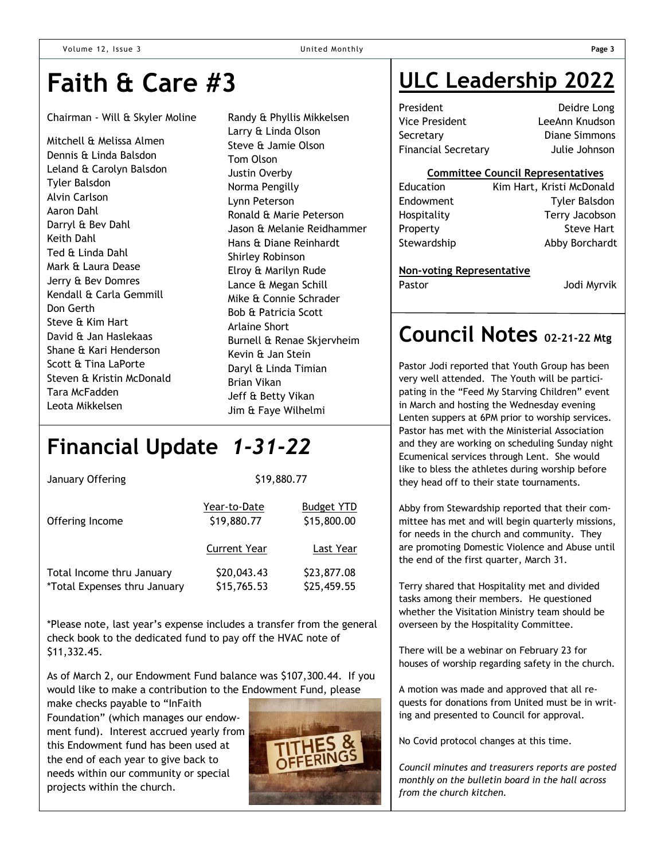## **Faith & Care #3**

#### Chairman - Will & Skyler Moline

Mitchell & Melissa Almen Dennis & Linda Balsdon Leland & Carolyn Balsdon Tyler Balsdon Alvin Carlson Aaron Dahl Darryl & Bev Dahl Keith Dahl Ted & Linda Dahl Mark & Laura Dease Jerry & Bev Domres Kendall & Carla Gemmill Don Gerth Steve & Kim Hart David & Jan Haslekaas Shane & Kari Henderson Scott & Tina LaPorte Steven & Kristin McDonald Tara McFadden Leota Mikkelsen

Randy & Phyllis Mikkelsen Larry & Linda Olson Steve & Jamie Olson Tom Olson Justin Overby Norma Pengilly Lynn Peterson Ronald & Marie Peterson Jason & Melanie Reidhammer Hans & Diane Reinhardt Shirley Robinson Elroy & Marilyn Rude Lance & Megan Schill Mike & Connie Schrader Bob & Patricia Scott Arlaine Short Burnell & Renae Skjervheim Kevin & Jan Stein Daryl & Linda Timian Brian Vikan Jeff & Betty Vikan Jim & Faye Wilhelmi

## **ULC Leadership 2022**

President Deidre Long Vice President LeeAnn Knudson Secretary Diane Simmons Financial Secretary Julie Johnson

#### **Committee Council Representatives**

| Education   | Kim Hart, Kristi McDonald |
|-------------|---------------------------|
| Endowment   | <b>Tyler Balsdon</b>      |
| Hospitality | Terry Jacobson            |
| Property    | <b>Steve Hart</b>         |
| Stewardship | Abby Borchardt            |
|             |                           |

#### **Non-voting Representative**

Pastor **Disk Line Controller Service Controller Service Controller Service Controller Service Controller Service Controller Service Controller Service Controller Service Controller Service Controller Service Controller Ser** 

## **Council Notes 02-21-22 Mtg**

Pastor Jodi reported that Youth Group has been very well attended. The Youth will be participating in the "Feed My Starving Children" event in March and hosting the Wednesday evening Lenten suppers at 6PM prior to worship services. Pastor has met with the Ministerial Association and they are working on scheduling Sunday night Ecumenical services through Lent. She would like to bless the athletes during worship before they head off to their state tournaments.

Abby from Stewardship reported that their committee has met and will begin quarterly missions, for needs in the church and community. They are promoting Domestic Violence and Abuse until the end of the first quarter, March 31.

Terry shared that Hospitality met and divided tasks among their members. He questioned whether the Visitation Ministry team should be overseen by the Hospitality Committee.

There will be a webinar on February 23 for houses of worship regarding safety in the church.

A motion was made and approved that all requests for donations from United must be in writing and presented to Council for approval.

No Covid protocol changes at this time.

*Council minutes and treasurers reports are posted monthly on the bulletin board in the hall across from the church kitchen.* 

## **Financial Update** *1-31-22*

| January Offering                                          | \$19,880.77                 |                                  |  |  |
|-----------------------------------------------------------|-----------------------------|----------------------------------|--|--|
| Offering Income                                           | Year-to-Date<br>\$19,880.77 | <b>Budget YTD</b><br>\$15,800.00 |  |  |
|                                                           | <b>Current Year</b>         | Last Year                        |  |  |
| Total Income thru January<br>*Total Expenses thru January | \$20,043.43<br>\$15,765.53  | \$23,877.08<br>\$25,459.55       |  |  |

\*Please note, last year's expense includes a transfer from the general check book to the dedicated fund to pay off the HVAC note of \$11,332.45.

As of March 2, our Endowment Fund balance was \$107,300.44. If you would like to make a contribution to the Endowment Fund, please

make checks payable to "InFaith Foundation" (which manages our endowment fund). Interest accrued yearly from this Endowment fund has been used at the end of each year to give back to needs within our community or special projects within the church.

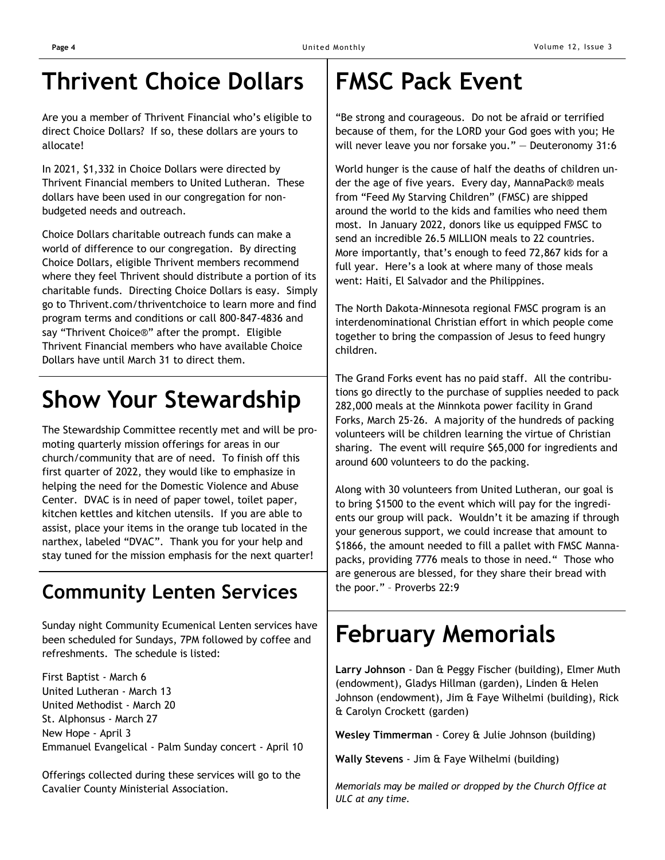## **Thrivent Choice Dollars**

Are you a member of Thrivent Financial who's eligible to direct Choice Dollars? If so, these dollars are yours to allocate!

In 2021, \$1,332 in Choice Dollars were directed by Thrivent Financial members to United Lutheran. These dollars have been used in our congregation for nonbudgeted needs and outreach.

Choice Dollars charitable outreach funds can make a world of difference to our congregation. By directing Choice Dollars, eligible Thrivent members recommend where they feel Thrivent should distribute a portion of its charitable funds. Directing Choice Dollars is easy. Simply go to Thrivent.com/thriventchoice to learn more and find program terms and conditions or call 800-847-4836 and say "Thrivent Choice®" after the prompt. Eligible Thrivent Financial members who have available Choice Dollars have until March 31 to direct them.

## **Show Your Stewardship**

The Stewardship Committee recently met and will be promoting quarterly mission offerings for areas in our church/community that are of need. To finish off this first quarter of 2022, they would like to emphasize in helping the need for the Domestic Violence and Abuse Center. DVAC is in need of paper towel, toilet paper, kitchen kettles and kitchen utensils. If you are able to assist, place your items in the orange tub located in the narthex, labeled "DVAC". Thank you for your help and stay tuned for the mission emphasis for the next quarter!

## **Community Lenten Services**

Sunday night Community Ecumenical Lenten services have been scheduled for Sundays, 7PM followed by coffee and refreshments. The schedule is listed:

First Baptist - March 6 United Lutheran - March 13 United Methodist - March 20 St. Alphonsus - March 27 New Hope - April 3 Emmanuel Evangelical - Palm Sunday concert - April 10

Offerings collected during these services will go to the Cavalier County Ministerial Association.

## **FMSC Pack Event**

"Be strong and courageous. Do not be afraid or terrified because of them, for the LORD your God goes with you; He will never leave you nor forsake you." — Deuteronomy 31:6

World hunger is the cause of half the deaths of children under the age of five years. Every day, MannaPack® meals from "Feed My Starving Children" (FMSC) are shipped around the world to the kids and families who need them most. In January 2022, donors like us equipped FMSC to send an incredible 26.5 MILLION meals to 22 countries. More importantly, that's enough to feed 72,867 kids for a full year. Here's a look at where many of those meals went: Haiti, El Salvador and the Philippines.

The North Dakota-Minnesota regional FMSC program is an interdenominational Christian effort in which people come together to bring the compassion of Jesus to feed hungry children.

The Grand Forks event has no paid staff. All the contributions go directly to the purchase of supplies needed to pack 282,000 meals at the Minnkota power facility in Grand Forks, March 25-26. A majority of the hundreds of packing volunteers will be children learning the virtue of Christian sharing. The event will require \$65,000 for ingredients and around 600 volunteers to do the packing.

Along with 30 volunteers from United Lutheran, our goal is to bring \$1500 to the event which will pay for the ingredients our group will pack. Wouldn't it be amazing if through your generous support, we could increase that amount to \$1866, the amount needed to fill a pallet with FMSC Mannapacks, providing 7776 meals to those in need." Those who are generous are blessed, for they share their bread with the poor." – Proverbs 22:9

## **February Memorials**

**Larry Johnson** - Dan & Peggy Fischer (building), Elmer Muth (endowment), Gladys Hillman (garden), Linden & Helen Johnson (endowment), Jim & Faye Wilhelmi (building), Rick & Carolyn Crockett (garden)

**Wesley Timmerman** - Corey & Julie Johnson (building)

**Wally Stevens** - Jim & Faye Wilhelmi (building)

*Memorials may be mailed or dropped by the Church Office at ULC at any time.*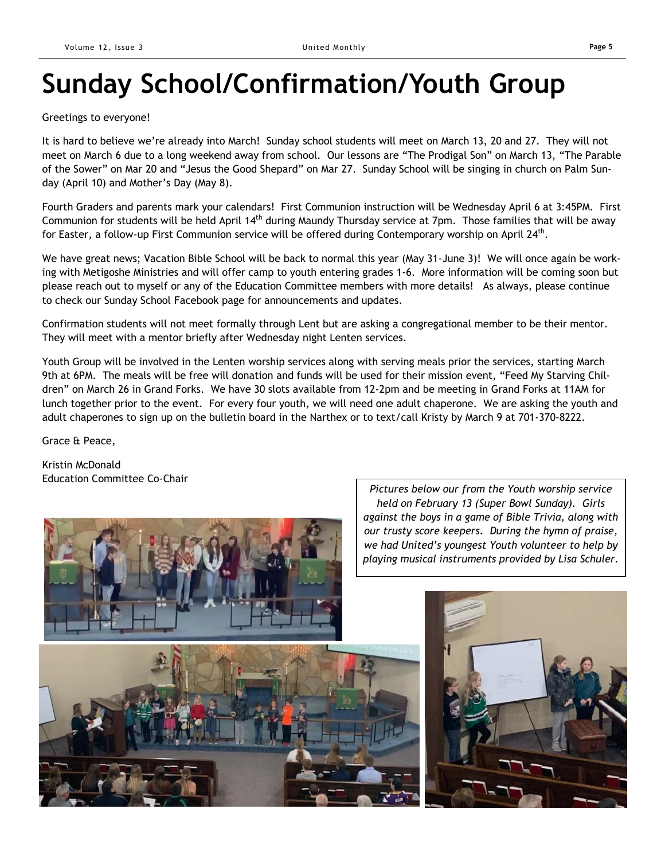## **Sunday School/Confirmation/Youth Group**

#### Greetings to everyone!

It is hard to believe we're already into March! Sunday school students will meet on March 13, 20 and 27. They will not meet on March 6 due to a long weekend away from school. Our lessons are "The Prodigal Son" on March 13, "The Parable of the Sower" on Mar 20 and "Jesus the Good Shepard" on Mar 27. Sunday School will be singing in church on Palm Sunday (April 10) and Mother's Day (May 8).

Fourth Graders and parents mark your calendars! First Communion instruction will be Wednesday April 6 at 3:45PM. First Communion for students will be held April 14<sup>th</sup> during Maundy Thursday service at 7pm. Those families that will be away for Easter, a follow-up First Communion service will be offered during Contemporary worship on April 24<sup>th</sup>.

We have great news; Vacation Bible School will be back to normal this year (May 31-June 3)! We will once again be working with Metigoshe Ministries and will offer camp to youth entering grades 1-6. More information will be coming soon but please reach out to myself or any of the Education Committee members with more details! As always, please continue to check our Sunday School Facebook page for announcements and updates.

Confirmation students will not meet formally through Lent but are asking a congregational member to be their mentor. They will meet with a mentor briefly after Wednesday night Lenten services.

Youth Group will be involved in the Lenten worship services along with serving meals prior the services, starting March 9th at 6PM. The meals will be free will donation and funds will be used for their mission event, "Feed My Starving Children" on March 26 in Grand Forks. We have 30 slots available from 12-2pm and be meeting in Grand Forks at 11AM for lunch together prior to the event. For every four youth, we will need one adult chaperone. We are asking the youth and adult chaperones to sign up on the bulletin board in the Narthex or to text/call Kristy by March 9 at 701-370-8222.

Grace & Peace,

Kristin McDonald Education Committee Co-Chair



*Pictures below our from the Youth worship service held on February 13 (Super Bowl Sunday). Girls against the boys in a game of Bible Trivia, along with our trusty score keepers. During the hymn of praise, we had United's youngest Youth volunteer to help by playing musical instruments provided by Lisa Schuler.* 

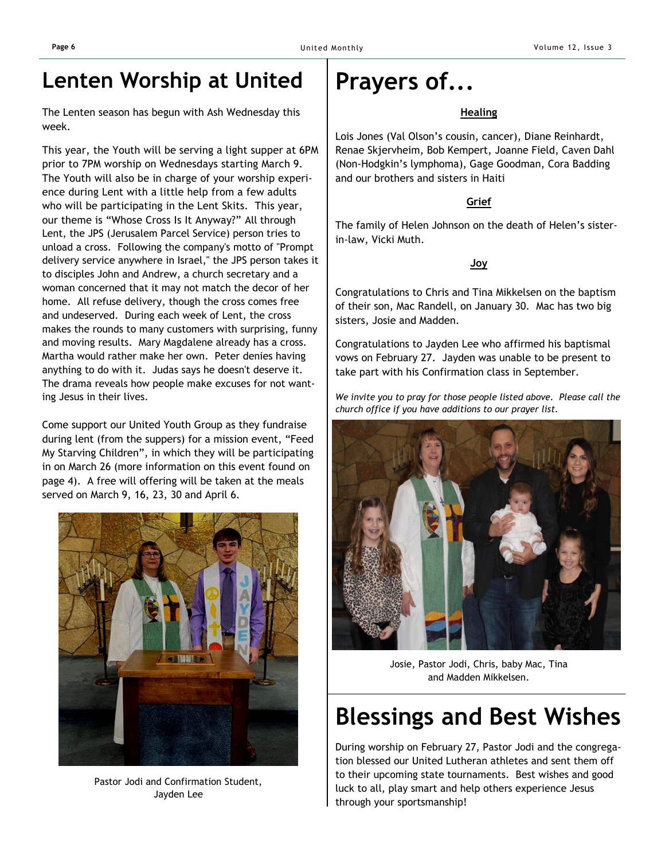## **Lenten Worship at United**

The Lenten season has begun with Ash Wednesday this week.

This year, the Youth will be serving a light supper at 6PM prior to 7PM worship on Wednesdays starting March 9. The Youth will also be in charge of your worship experience during Lent with a little help from a few adults who will be participating in the Lent Skits. This year, our theme is "Whose Cross Is It Anyway?" All through Lent, the JPS (Jerusalem Parcel Service) person tries to unload a cross. Following the company's motto of "Prompt delivery service anywhere in Israel," the JPS person takes it to disciples John and Andrew, a church secretary and a woman concerned that it may not match the decor of her home. All refuse delivery, though the cross comes free and undeserved. During each week of Lent, the cross makes the rounds to many customers with surprising, funny and moving results. Mary Magdalene already has a cross. Martha would rather make her own. Peter denies having anything to do with it. Judas says he doesn't deserve it. The drama reveals how people make excuses for not wanting Jesus in their lives.

Come support our United Youth Group as they fundraise during lent (from the suppers) for a mission event, "Feed My Starving Children", in which they will be participating in on March 26 (more information on this event found on page 4). A free will offering will be taken at the meals served on March 9, 16, 23, 30 and April 6.



Pastor Jodi and Confirmation Student, Jayden Lee

## **Prayers of...**

## **Healing**

Lois Jones (Val Olson's cousin, cancer), Diane Reinhardt, Renae Skjervheim, Bob Kempert, Joanne Field, Caven Dahl (Non-Hodgkin's lymphoma), Gage Goodman, Cora Badding and our brothers and sisters in Haiti

## **Grief**

The family of Helen Johnson on the death of Helen's sisterin-law, Vicki Muth.

## **Joy**

Congratulations to Chris and Tina Mikkelsen on the baptism of their son, Mac Randell, on January 30. Mac has two big sisters, Josie and Madden.

Congratulations to Jayden Lee who affirmed his baptismal vows on February 27. Jayden was unable to be present to take part with his Confirmation class in September.

*We invite you to pray for those people listed above. Please call the church office if you have additions to our prayer list.*



Josie, Pastor Jodi, Chris, baby Mac, Tina and Madden Mikkelsen.

## **Blessings and Best Wishes**

During worship on February 27, Pastor Jodi and the congregation blessed our United Lutheran athletes and sent them off to their upcoming state tournaments. Best wishes and good luck to all, play smart and help others experience Jesus through your sportsmanship!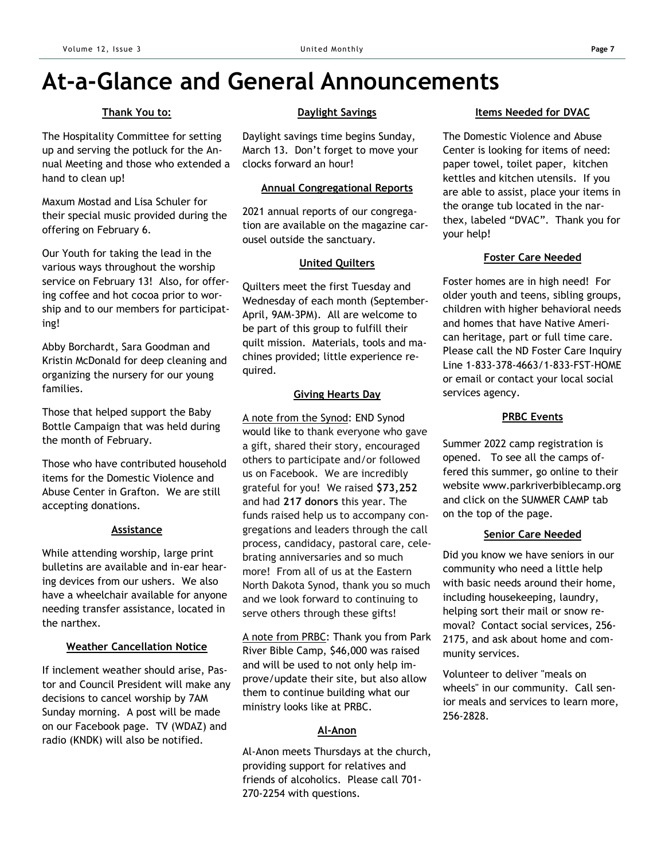## **At-a-Glance and General Announcements**

## **Thank You to:**

The Hospitality Committee for setting up and serving the potluck for the Annual Meeting and those who extended a hand to clean up!

Maxum Mostad and Lisa Schuler for their special music provided during the offering on February 6.

Our Youth for taking the lead in the various ways throughout the worship service on February 13! Also, for offering coffee and hot cocoa prior to worship and to our members for participating!

Abby Borchardt, Sara Goodman and Kristin McDonald for deep cleaning and organizing the nursery for our young families.

Those that helped support the Baby Bottle Campaign that was held during the month of February.

Those who have contributed household items for the Domestic Violence and Abuse Center in Grafton. We are still accepting donations.

#### **Assistance**

While attending worship, large print bulletins are available and in-ear hearing devices from our ushers. We also have a wheelchair available for anyone needing transfer assistance, located in the narthex.

#### **Weather Cancellation Notice**

If inclement weather should arise, Pastor and Council President will make any decisions to cancel worship by 7AM Sunday morning. A post will be made on our Facebook page. TV (WDAZ) and radio (KNDK) will also be notified.

## **Daylight Savings**

Daylight savings time begins Sunday, March 13. Don't forget to move your clocks forward an hour!

## **Annual Congregational Reports**

2021 annual reports of our congregation are available on the magazine carousel outside the sanctuary.

## **United Quilters**

Quilters meet the first Tuesday and Wednesday of each month (September-April, 9AM-3PM). All are welcome to be part of this group to fulfill their quilt mission. Materials, tools and machines provided; little experience required.

#### **Giving Hearts Day**

A note from the Synod: END Synod would like to thank everyone who gave a gift, shared their story, encouraged others to participate and/or followed us on Facebook. We are incredibly grateful for you! We raised **\$73,252** and had **217 donors** this year. The funds raised help us to accompany congregations and leaders through the call process, candidacy, pastoral care, celebrating anniversaries and so much more! From all of us at the Eastern North Dakota Synod, thank you so much and we look forward to continuing to serve others through these gifts!

A note from PRBC: Thank you from Park River Bible Camp, \$46,000 was raised and will be used to not only help improve/update their site, but also allow them to continue building what our ministry looks like at PRBC.

## **Al-Anon**

Al-Anon meets Thursdays at the church, providing support for relatives and friends of alcoholics. Please call 701- 270-2254 with questions.

## **Items Needed for DVAC**

The Domestic Violence and Abuse Center is looking for items of need: paper towel, toilet paper, kitchen kettles and kitchen utensils. If you are able to assist, place your items in the orange tub located in the narthex, labeled "DVAC". Thank you for your help!

## **Foster Care Needed**

Foster homes are in high need! For older youth and teens, sibling groups, children with higher behavioral needs and homes that have Native American heritage, part or full time care. Please call the ND Foster Care Inquiry Line 1-833-378-4663/1-833-FST-HOME or email or contact your local social services agency.

## **PRBC Events**

Summer 2022 camp registration is opened. To see all the camps offered this summer, go online to their website www.parkriverbiblecamp.org and click on the SUMMER CAMP tab on the top of the page.

## **Senior Care Needed**

Did you know we have seniors in our community who need a little help with basic needs around their home, including housekeeping, laundry, helping sort their mail or snow removal? Contact social services, 256- 2175, and ask about home and community services.

Volunteer to deliver "meals on wheels" in our community. Call senior meals and services to learn more, 256-2828.